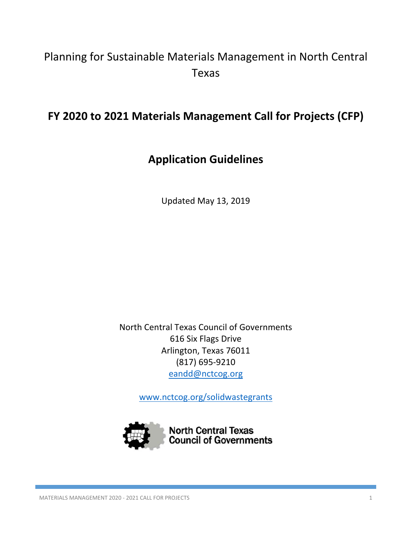# Planning for Sustainable Materials Management in North Central Texas

# **FY 2020 to 2021 Materials Management Call for Projects (CFP)**

# **Application Guidelines**

Updated May 13, 2019

North Central Texas Council of Governments 616 Six Flags Drive Arlington, Texas 76011 (817) 695‐9210 eandd@nctcog.org

www.nctcog.org/solidwastegrants

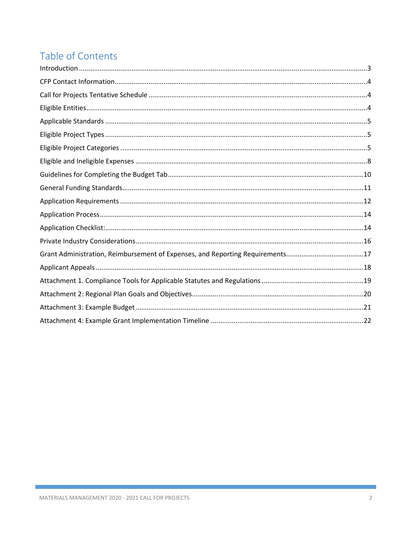# Table of Contents

| Grant Administration, Reimbursement of Expenses, and Reporting Requirements17 |  |
|-------------------------------------------------------------------------------|--|
|                                                                               |  |
|                                                                               |  |
|                                                                               |  |
|                                                                               |  |
|                                                                               |  |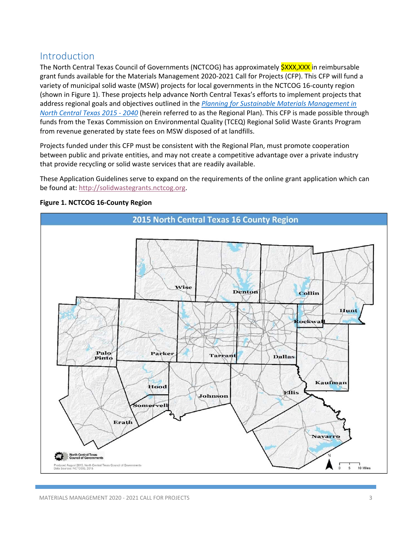## Introduction

The North Central Texas Council of Governments (NCTCOG) has approximately **\$XXX,XXX** in reimbursable grant funds available for the Materials Management 2020‐2021 Call for Projects (CFP). This CFP will fund a variety of municipal solid waste (MSW) projects for local governments in the NCTCOG 16‐county region (shown in Figure 1). These projects help advance North Central Texas's efforts to implement projects that address regional goals and objectives outlined in the *Planning for Sustainable Materials Management in North Central Texas 2015 ‐ 2040* (herein referred to as the Regional Plan). This CFP is made possible through funds from the Texas Commission on Environmental Quality (TCEQ) Regional Solid Waste Grants Program from revenue generated by state fees on MSW disposed of at landfills.

Projects funded under this CFP must be consistent with the Regional Plan, must promote cooperation between public and private entities, and may not create a competitive advantage over a private industry that provide recycling or solid waste services that are readily available.

These Application Guidelines serve to expand on the requirements of the online grant application which can be found at: http://solidwastegrants.nctcog.org.



**Figure 1. NCTCOG 16‐County Region**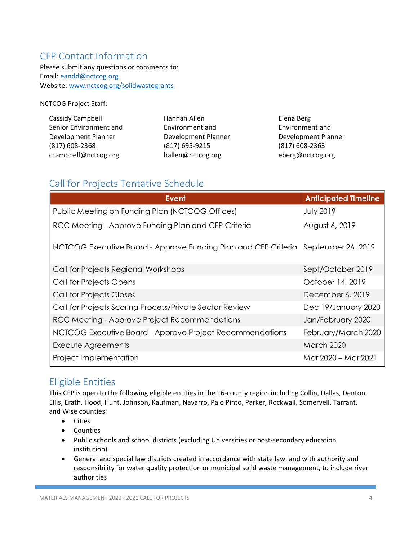# CFP Contact Information

Please submit any questions or comments to: Email: eandd@nctcog.org Website: www.nctcog.org/solidwastegrants

NCTCOG Project Staff:

| Cassidy Campbell       | Hannah Allen        | Elena Berg          |
|------------------------|---------------------|---------------------|
| Senior Environment and | Environment and     | Environment and     |
| Development Planner    | Development Planner | Development Planner |
| $(817)$ 608-2368       | (817) 695-9215      | $(817)$ 608-2363    |
| ccampbell@nctcog.org   | hallen@nctcog.org   | eberg@nctcog.org    |

# Call for Projects Tentative Schedule

| <b>Event</b>                                                                      | <b>Anticipated Timeline</b> |
|-----------------------------------------------------------------------------------|-----------------------------|
| Public Meeting on Funding Plan (NCTCOG Offices)                                   | <b>July 2019</b>            |
| RCC Meeting - Approve Funding Plan and CFP Criteria                               | August 6, 2019              |
| NCTCOG Executive Board - Approve Funding Plan and CFP Criteria September 26, 2019 |                             |
| Call for Projects Regional Workshops                                              | Sept/October 2019           |
| Call for Projects Opens                                                           | October 14, 2019            |
| <b>Call for Projects Closes</b>                                                   | December 6, 2019            |
| Call for Projects Scoring Process/Private Sector Review                           | Dec 19/January 2020         |
| RCC Meeting - Approve Project Recommendations                                     | Jan/February 2020           |
| NCTCOG Executive Board - Approve Project Recommendations                          | February/March 2020         |
| Execute Agreements                                                                | <b>March 2020</b>           |
| Project Implementation                                                            | Mar 2020 – Mar 2021         |

## Eligible Entities

This CFP is open to the following eligible entities in the 16‐county region including Collin, Dallas, Denton, Ellis, Erath, Hood, Hunt, Johnson, Kaufman, Navarro, Palo Pinto, Parker, Rockwall, Somervell, Tarrant, and Wise counties:

- **•** Cities
- Counties
- Public schools and school districts (excluding Universities or post-secondary education institution)
- General and special law districts created in accordance with state law, and with authority and responsibility for water quality protection or municipal solid waste management, to include river authorities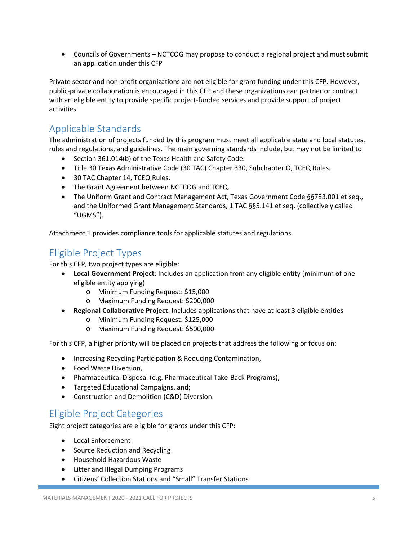Councils of Governments – NCTCOG may propose to conduct a regional project and must submit an application under this CFP

Private sector and non‐profit organizations are not eligible for grant funding under this CFP. However, public‐private collaboration is encouraged in this CFP and these organizations can partner or contract with an eligible entity to provide specific project-funded services and provide support of project activities.

# Applicable Standards

The administration of projects funded by this program must meet all applicable state and local statutes, rules and regulations, and guidelines. The main governing standards include, but may not be limited to:

- Section 361.014(b) of the Texas Health and Safety Code.
- Title 30 Texas Administrative Code (30 TAC) Chapter 330, Subchapter O, TCEQ Rules.
- 30 TAC Chapter 14, TCEQ Rules.
- The Grant Agreement between NCTCOG and TCEQ.
- The Uniform Grant and Contract Management Act, Texas Government Code §§783.001 et seq., and the Uniformed Grant Management Standards, 1 TAC §§5.141 et seq. (collectively called "UGMS").

Attachment 1 provides compliance tools for applicable statutes and regulations.

# Eligible Project Types

For this CFP, two project types are eligible:

- **Local Government Project**: Includes an application from any eligible entity (minimum of one eligible entity applying)
	- o Minimum Funding Request: \$15,000
	- o Maximum Funding Request: \$200,000
- **Regional Collaborative Project**: Includes applications that have at least 3 eligible entities
	- o Minimum Funding Request: \$125,000
	- o Maximum Funding Request: \$500,000

For this CFP, a higher priority will be placed on projects that address the following or focus on:

- **Increasing Recycling Participation & Reducing Contamination,**
- Food Waste Diversion,
- Pharmaceutical Disposal (e.g. Pharmaceutical Take-Back Programs),
- **•** Targeted Educational Campaigns, and;
- Construction and Demolition (C&D) Diversion.

## Eligible Project Categories

Eight project categories are eligible for grants under this CFP:

- Local Enforcement
- Source Reduction and Recycling
- Household Hazardous Waste
- Litter and Illegal Dumping Programs
- Citizens' Collection Stations and "Small" Transfer Stations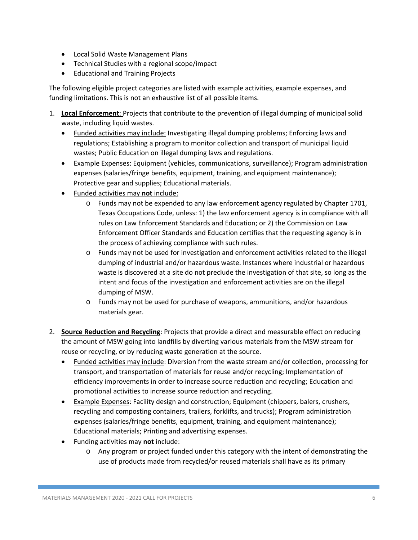- Local Solid Waste Management Plans
- Technical Studies with a regional scope/impact
- Educational and Training Projects

The following eligible project categories are listed with example activities, example expenses, and funding limitations. This is not an exhaustive list of all possible items.

- 1. **Local Enforcement**: Projects that contribute to the prevention of illegal dumping of municipal solid waste, including liquid wastes.
	- Funded activities may include: Investigating illegal dumping problems; Enforcing laws and regulations; Establishing a program to monitor collection and transport of municipal liquid wastes; Public Education on illegal dumping laws and regulations.
	- Example Expenses: Equipment (vehicles, communications, surveillance); Program administration expenses (salaries/fringe benefits, equipment, training, and equipment maintenance); Protective gear and supplies; Educational materials.
	- Funded activities may **not** include:
		- $\circ$  Funds may not be expended to any law enforcement agency regulated by Chapter 1701, Texas Occupations Code, unless: 1) the law enforcement agency is in compliance with all rules on Law Enforcement Standards and Education; or 2) the Commission on Law Enforcement Officer Standards and Education certifies that the requesting agency is in the process of achieving compliance with such rules.
		- o Funds may not be used for investigation and enforcement activities related to the illegal dumping of industrial and/or hazardous waste. Instances where industrial or hazardous waste is discovered at a site do not preclude the investigation of that site, so long as the intent and focus of the investigation and enforcement activities are on the illegal dumping of MSW.
		- o Funds may not be used for purchase of weapons, ammunitions, and/or hazardous materials gear.
- 2. **Source Reduction and Recycling**: Projects that provide a direct and measurable effect on reducing the amount of MSW going into landfills by diverting various materials from the MSW stream for reuse or recycling, or by reducing waste generation at the source.
	- Funded activities may include: Diversion from the waste stream and/or collection, processing for transport, and transportation of materials for reuse and/or recycling; Implementation of efficiency improvements in order to increase source reduction and recycling; Education and promotional activities to increase source reduction and recycling.
	- Example Expenses: Facility design and construction; Equipment (chippers, balers, crushers, recycling and composting containers, trailers, forklifts, and trucks); Program administration expenses (salaries/fringe benefits, equipment, training, and equipment maintenance); Educational materials; Printing and advertising expenses.
	- Funding activities may **not** include:
		- o Any program or project funded under this category with the intent of demonstrating the use of products made from recycled/or reused materials shall have as its primary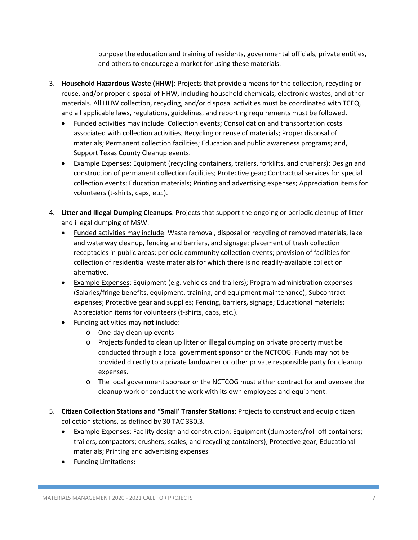purpose the education and training of residents, governmental officials, private entities, and others to encourage a market for using these materials.

- 3. **Household Hazardous Waste (HHW)**: Projects that provide a means for the collection, recycling or reuse, and/or proper disposal of HHW, including household chemicals, electronic wastes, and other materials. All HHW collection, recycling, and/or disposal activities must be coordinated with TCEQ, and all applicable laws, regulations, guidelines, and reporting requirements must be followed.
	- Funded activities may include: Collection events; Consolidation and transportation costs associated with collection activities; Recycling or reuse of materials; Proper disposal of materials; Permanent collection facilities; Education and public awareness programs; and, Support Texas County Cleanup events.
	- Example Expenses: Equipment (recycling containers, trailers, forklifts, and crushers); Design and construction of permanent collection facilities; Protective gear; Contractual services for special collection events; Education materials; Printing and advertising expenses; Appreciation items for volunteers (t‐shirts, caps, etc.).
- 4. **Litter and Illegal Dumping Cleanups**: Projects that support the ongoing or periodic cleanup of litter and illegal dumping of MSW.
	- Funded activities may include: Waste removal, disposal or recycling of removed materials, lake and waterway cleanup, fencing and barriers, and signage; placement of trash collection receptacles in public areas; periodic community collection events; provision of facilities for collection of residential waste materials for which there is no readily‐available collection alternative.
	- Example Expenses: Equipment (e.g. vehicles and trailers); Program administration expenses (Salaries/fringe benefits, equipment, training, and equipment maintenance); Subcontract expenses; Protective gear and supplies; Fencing, barriers, signage; Educational materials; Appreciation items for volunteers (t‐shirts, caps, etc.).
	- Funding activities may **not** include:
		- o One‐day clean‐up events
		- o Projects funded to clean up litter or illegal dumping on private property must be conducted through a local government sponsor or the NCTCOG. Funds may not be provided directly to a private landowner or other private responsible party for cleanup expenses.
		- o The local government sponsor or the NCTCOG must either contract for and oversee the cleanup work or conduct the work with its own employees and equipment.
- 5. **Citizen Collection Stations and "Small' Transfer Stations**: Projects to construct and equip citizen collection stations, as defined by 30 TAC 330.3.
	- Example Expenses: Facility design and construction; Equipment (dumpsters/roll‐off containers; trailers, compactors; crushers; scales, and recycling containers); Protective gear; Educational materials; Printing and advertising expenses
	- Funding Limitations: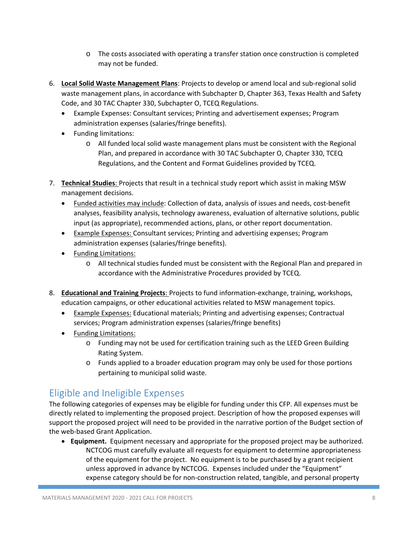- o The costs associated with operating a transfer station once construction is completed may not be funded.
- 6. **Local Solid Waste Management Plans**: Projects to develop or amend local and sub‐regional solid waste management plans, in accordance with Subchapter D, Chapter 363, Texas Health and Safety Code, and 30 TAC Chapter 330, Subchapter O, TCEQ Regulations.
	- Example Expenses: Consultant services; Printing and advertisement expenses; Program administration expenses (salaries/fringe benefits).
	- Funding limitations:
		- o All funded local solid waste management plans must be consistent with the Regional Plan, and prepared in accordance with 30 TAC Subchapter O, Chapter 330, TCEQ Regulations, and the Content and Format Guidelines provided by TCEQ.
- 7. **Technical Studies**: Projects that result in a technical study report which assist in making MSW management decisions.
	- Funded activities may include: Collection of data, analysis of issues and needs, cost‐benefit analyses, feasibility analysis, technology awareness, evaluation of alternative solutions, public input (as appropriate), recommended actions, plans, or other report documentation.
	- Example Expenses: Consultant services; Printing and advertising expenses; Program administration expenses (salaries/fringe benefits).
	- Funding Limitations:
		- o All technical studies funded must be consistent with the Regional Plan and prepared in accordance with the Administrative Procedures provided by TCEQ.
- 8. **Educational and Training Projects**: Projects to fund information‐exchange, training, workshops, education campaigns, or other educational activities related to MSW management topics.
	- Example Expenses: Educational materials; Printing and advertising expenses; Contractual services; Program administration expenses (salaries/fringe benefits)
	- Funding Limitations:
		- o Funding may not be used for certification training such as the LEED Green Building Rating System.
		- o Funds applied to a broader education program may only be used for those portions pertaining to municipal solid waste.

# Eligible and Ineligible Expenses

The following categories of expenses may be eligible for funding under this CFP. All expenses must be directly related to implementing the proposed project. Description of how the proposed expenses will support the proposed project will need to be provided in the narrative portion of the Budget section of the web‐based Grant Application.

 **Equipment.** Equipment necessary and appropriate for the proposed project may be authorized. NCTCOG must carefully evaluate all requests for equipment to determine appropriateness of the equipment for the project. No equipment is to be purchased by a grant recipient unless approved in advance by NCTCOG. Expenses included under the "Equipment" expense category should be for non‐construction related, tangible, and personal property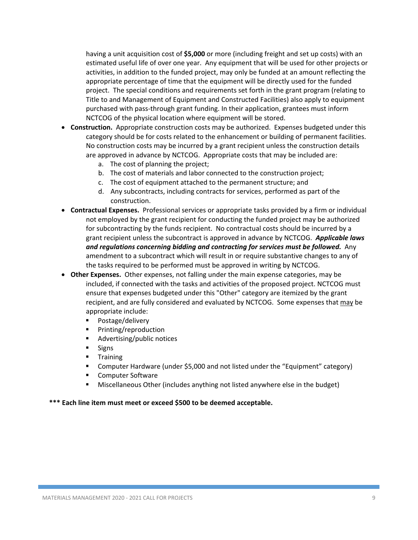having a unit acquisition cost of **\$5,000** or more (including freight and set up costs) with an estimated useful life of over one year. Any equipment that will be used for other projects or activities, in addition to the funded project, may only be funded at an amount reflecting the appropriate percentage of time that the equipment will be directly used for the funded project. The special conditions and requirements set forth in the grant program (relating to Title to and Management of Equipment and Constructed Facilities) also apply to equipment purchased with pass‐through grant funding. In their application, grantees must inform NCTCOG of the physical location where equipment will be stored.

- **Construction.** Appropriate construction costs may be authorized. Expenses budgeted under this category should be for costs related to the enhancement or building of permanent facilities. No construction costs may be incurred by a grant recipient unless the construction details are approved in advance by NCTCOG. Appropriate costs that may be included are:
	- a. The cost of planning the project;
	- b. The cost of materials and labor connected to the construction project;
	- c. The cost of equipment attached to the permanent structure; and
	- d. Any subcontracts, including contracts for services, performed as part of the construction.
- **Contractual Expenses.** Professional services or appropriate tasks provided by a firm or individual not employed by the grant recipient for conducting the funded project may be authorized for subcontracting by the funds recipient. No contractual costs should be incurred by a grant recipient unless the subcontract is approved in advance by NCTCOG. *Applicable laws and regulations concerning bidding and contracting for services must be followed.* Any amendment to a subcontract which will result in or require substantive changes to any of the tasks required to be performed must be approved in writing by NCTCOG.
- **Other Expenses.** Other expenses, not falling under the main expense categories, may be included, if connected with the tasks and activities of the proposed project. NCTCOG must ensure that expenses budgeted under this "Other" category are itemized by the grant recipient, and are fully considered and evaluated by NCTCOG. Some expenses that may be appropriate include:
	- Postage/delivery
	- **Printing/reproduction**
	- Advertising/public notices
	- **Signs**
	- **Training**
	- Computer Hardware (under \$5,000 and not listed under the "Equipment" category)
	- Computer Software
	- Miscellaneous Other (includes anything not listed anywhere else in the budget)

**\*\*\* Each line item must meet or exceed \$500 to be deemed acceptable.**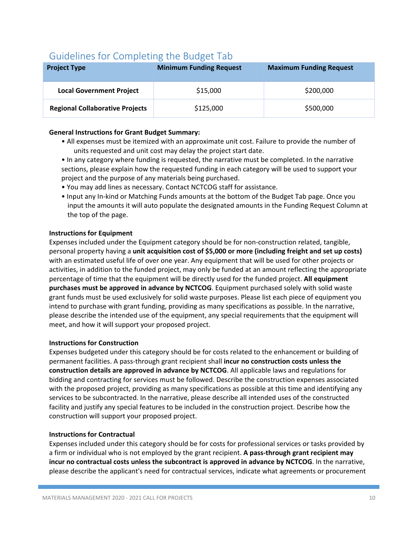# Guidelines for Completing the Budget Tab

| <b>Project Type</b>                    | <b>Minimum Funding Request</b> | <b>Maximum Funding Request</b> |
|----------------------------------------|--------------------------------|--------------------------------|
| <b>Local Government Project</b>        | \$15,000                       | \$200,000                      |
| <b>Regional Collaborative Projects</b> | \$125,000                      | \$500,000                      |

### **General Instructions for Grant Budget Summary:**

- All expenses must be itemized with an approximate unit cost. Failure to provide the number of units requested and unit cost may delay the project start date.
- In any category where funding is requested, the narrative must be completed. In the narrative sections, please explain how the requested funding in each category will be used to support your project and the purpose of any materials being purchased.
- You may add lines as necessary. Contact NCTCOG staff for assistance.
- Input any In‐kind or Matching Funds amounts at the bottom of the Budget Tab page. Once you input the amounts it will auto populate the designated amounts in the Funding Request Column at the top of the page.

#### **Instructions for Equipment**

Expenses included under the Equipment category should be for non‐construction related, tangible, personal property having a **unit acquisition cost of \$5,000 or more (including freight and set up costs)**  with an estimated useful life of over one year. Any equipment that will be used for other projects or activities, in addition to the funded project, may only be funded at an amount reflecting the appropriate percentage of time that the equipment will be directly used for the funded project. **All equipment purchases must be approved in advance by NCTCOG**. Equipment purchased solely with solid waste grant funds must be used exclusively for solid waste purposes. Please list each piece of equipment you intend to purchase with grant funding, providing as many specifications as possible. In the narrative, please describe the intended use of the equipment, any special requirements that the equipment will meet, and how it will support your proposed project.

### **Instructions for Construction**

Expenses budgeted under this category should be for costs related to the enhancement or building of permanent facilities. A pass‐through grant recipient shall **incur no construction costs unless the construction details are approved in advance by NCTCOG**. All applicable laws and regulations for bidding and contracting for services must be followed. Describe the construction expenses associated with the proposed project, providing as many specifications as possible at this time and identifying any services to be subcontracted. In the narrative, please describe all intended uses of the constructed facility and justify any special features to be included in the construction project. Describe how the construction will support your proposed project.

#### **Instructions for Contractual**

Expenses included under this category should be for costs for professional services or tasks provided by a firm or individual who is not employed by the grant recipient. A pass-through grant recipient may **incur no contractual costs unless the subcontract is approved in advance by NCTCOG**. In the narrative, please describe the applicant's need for contractual services, indicate what agreements or procurement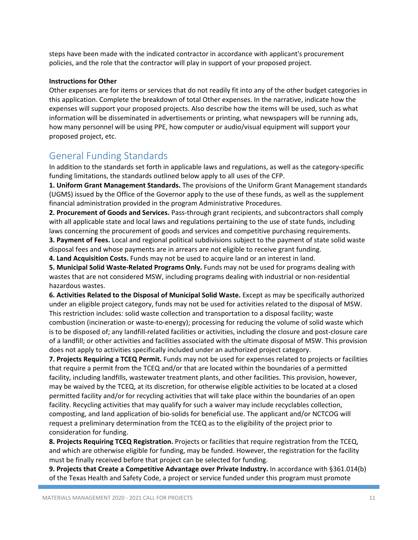steps have been made with the indicated contractor in accordance with applicant's procurement policies, and the role that the contractor will play in support of your proposed project.

#### **Instructions for Other**

Other expenses are for items or services that do not readily fit into any of the other budget categories in this application. Complete the breakdown of total Other expenses. In the narrative, indicate how the expenses will support your proposed projects. Also describe how the items will be used, such as what information will be disseminated in advertisements or printing, what newspapers will be running ads, how many personnel will be using PPE, how computer or audio/visual equipment will support your proposed project, etc.

## General Funding Standards

In addition to the standards set forth in applicable laws and regulations, as well as the category‐specific funding limitations, the standards outlined below apply to all uses of the CFP.

**1. Uniform Grant Management Standards.** The provisions of the Uniform Grant Management standards (UGMS) issued by the Office of the Governor apply to the use of these funds, as well as the supplement financial administration provided in the program Administrative Procedures.

**2. Procurement of Goods and Services.** Pass‐through grant recipients, and subcontractors shall comply with all applicable state and local laws and regulations pertaining to the use of state funds, including laws concerning the procurement of goods and services and competitive purchasing requirements.

**3. Payment of Fees.** Local and regional political subdivisions subject to the payment of state solid waste disposal fees and whose payments are in arrears are not eligible to receive grant funding.

**4. Land Acquisition Costs.** Funds may not be used to acquire land or an interest in land.

**5. Municipal Solid Waste‐Related Programs Only.** Funds may not be used for programs dealing with wastes that are not considered MSW, including programs dealing with industrial or non-residential hazardous wastes.

**6. Activities Related to the Disposal of Municipal Solid Waste.** Except as may be specifically authorized under an eligible project category, funds may not be used for activities related to the disposal of MSW. This restriction includes: solid waste collection and transportation to a disposal facility; waste combustion (incineration or waste‐to‐energy); processing for reducing the volume of solid waste which is to be disposed of; any landfill‐related facilities or activities, including the closure and post‐closure care of a landfill; or other activities and facilities associated with the ultimate disposal of MSW. This provision does not apply to activities specifically included under an authorized project category.

**7. Projects Requiring a TCEQ Permit.** Funds may not be used for expenses related to projects or facilities that require a permit from the TCEQ and/or that are located within the boundaries of a permitted facility, including landfills, wastewater treatment plants, and other facilities. This provision, however, may be waived by the TCEQ, at its discretion, for otherwise eligible activities to be located at a closed permitted facility and/or for recycling activities that will take place within the boundaries of an open facility. Recycling activities that may qualify for such a waiver may include recyclables collection, composting, and land application of bio‐solids for beneficial use. The applicant and/or NCTCOG will request a preliminary determination from the TCEQ as to the eligibility of the project prior to consideration for funding.

**8. Projects Requiring TCEQ Registration.** Projects or facilities that require registration from the TCEQ, and which are otherwise eligible for funding, may be funded. However, the registration for the facility must be finally received before that project can be selected for funding.

**9. Projects that Create a Competitive Advantage over Private Industry.** In accordance with §361.014(b) of the Texas Health and Safety Code, a project or service funded under this program must promote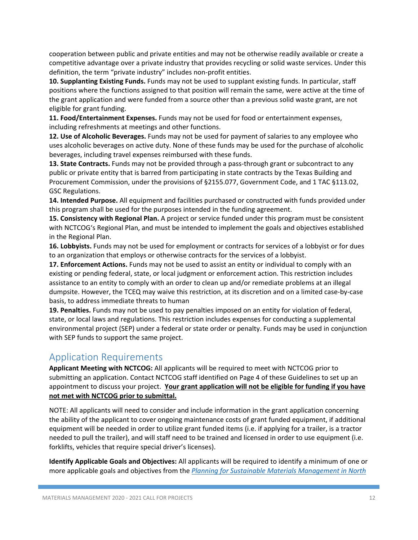cooperation between public and private entities and may not be otherwise readily available or create a competitive advantage over a private industry that provides recycling or solid waste services. Under this definition, the term "private industry" includes non‐profit entities.

**10. Supplanting Existing Funds.** Funds may not be used to supplant existing funds. In particular, staff positions where the functions assigned to that position will remain the same, were active at the time of the grant application and were funded from a source other than a previous solid waste grant, are not eligible for grant funding.

**11. Food/Entertainment Expenses.** Funds may not be used for food or entertainment expenses, including refreshments at meetings and other functions.

**12. Use of Alcoholic Beverages.** Funds may not be used for payment of salaries to any employee who uses alcoholic beverages on active duty. None of these funds may be used for the purchase of alcoholic beverages, including travel expenses reimbursed with these funds.

**13. State Contracts.** Funds may not be provided through a pass-through grant or subcontract to any public or private entity that is barred from participating in state contracts by the Texas Building and Procurement Commission, under the provisions of §2155.077, Government Code, and 1 TAC §113.02, GSC Regulations.

**14. Intended Purpose.** All equipment and facilities purchased or constructed with funds provided under this program shall be used for the purposes intended in the funding agreement.

**15. Consistency with Regional Plan.** A project or service funded under this program must be consistent with NCTCOG's Regional Plan, and must be intended to implement the goals and objectives established in the Regional Plan.

**16. Lobbyists.** Funds may not be used for employment or contracts for services of a lobbyist or for dues to an organization that employs or otherwise contracts for the services of a lobbyist.

**17. Enforcement Actions.** Funds may not be used to assist an entity or individual to comply with an existing or pending federal, state, or local judgment or enforcement action. This restriction includes assistance to an entity to comply with an order to clean up and/or remediate problems at an illegal dumpsite. However, the TCEQ may waive this restriction, at its discretion and on a limited case‐by‐case basis, to address immediate threats to human

**19. Penalties.** Funds may not be used to pay penalties imposed on an entity for violation of federal, state, or local laws and regulations. This restriction includes expenses for conducting a supplemental environmental project (SEP) under a federal or state order or penalty. Funds may be used in conjunction with SEP funds to support the same project.

## Application Requirements

**Applicant Meeting with NCTCOG:** All applicants will be required to meet with NCTCOG prior to submitting an application. Contact NCTCOG staff identified on Page 4 of these Guidelines to set up an appointment to discuss your project. **Your grant application will not be eligible for funding if you have not met with NCTCOG prior to submittal.** 

NOTE: All applicants will need to consider and include information in the grant application concerning the ability of the applicant to cover ongoing maintenance costs of grant funded equipment, if additional equipment will be needed in order to utilize grant funded items (i.e. if applying for a trailer, is a tractor needed to pull the trailer), and will staff need to be trained and licensed in order to use equipment (i.e. forklifts, vehicles that require special driver's licenses).

**Identify Applicable Goals and Objectives:** All applicants will be required to identify a minimum of one or more applicable goals and objectives from the *Planning for Sustainable Materials Management in North*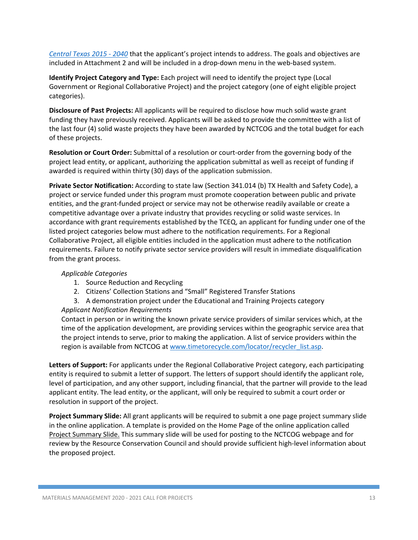*Central Texas 2015 ‐ 2040* that the applicant's project intends to address. The goals and objectives are included in Attachment 2 and will be included in a drop-down menu in the web-based system.

**Identify Project Category and Type:** Each project will need to identify the project type (Local Government or Regional Collaborative Project) and the project category (one of eight eligible project categories).

**Disclosure of Past Projects:** All applicants will be required to disclose how much solid waste grant funding they have previously received. Applicants will be asked to provide the committee with a list of the last four (4) solid waste projects they have been awarded by NCTCOG and the total budget for each of these projects.

**Resolution or Court Order:** Submittal of a resolution or court‐order from the governing body of the project lead entity, or applicant, authorizing the application submittal as well as receipt of funding if awarded is required within thirty (30) days of the application submission.

**Private Sector Notification:** According to state law (Section 341.014 (b) TX Health and Safety Code), a project or service funded under this program must promote cooperation between public and private entities, and the grant‐funded project or service may not be otherwise readily available or create a competitive advantage over a private industry that provides recycling or solid waste services. In accordance with grant requirements established by the TCEQ, an applicant for funding under one of the listed project categories below must adhere to the notification requirements. For a Regional Collaborative Project, all eligible entities included in the application must adhere to the notification requirements. Failure to notify private sector service providers will result in immediate disqualification from the grant process.

### *Applicable Categories*

- 1. Source Reduction and Recycling
- 2. Citizens' Collection Stations and "Small" Registered Transfer Stations
- 3. A demonstration project under the Educational and Training Projects category *Applicant Notification Requirements*

Contact in person or in writing the known private service providers of similar services which, at the time of the application development, are providing services within the geographic service area that the project intends to serve, prior to making the application. A list of service providers within the region is available from NCTCOG at www.timetorecycle.com/locator/recycler\_list.asp.

**Letters of Support:** For applicants under the Regional Collaborative Project category, each participating entity is required to submit a letter of support. The letters of support should identify the applicant role, level of participation, and any other support, including financial, that the partner will provide to the lead applicant entity. The lead entity, or the applicant, will only be required to submit a court order or resolution in support of the project.

**Project Summary Slide:** All grant applicants will be required to submit a one page project summary slide in the online application. A template is provided on the Home Page of the online application called Project Summary Slide. This summary slide will be used for posting to the NCTCOG webpage and for review by the Resource Conservation Council and should provide sufficient high‐level information about the proposed project.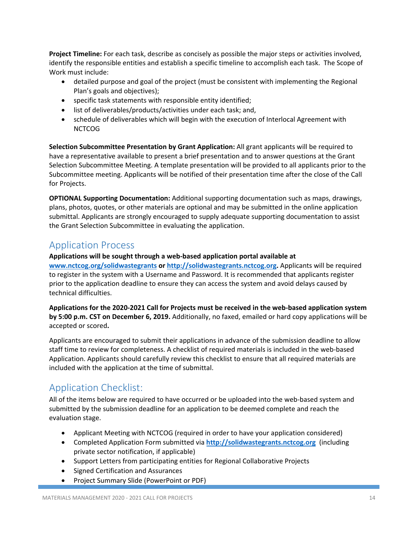**Project Timeline:** For each task, describe as concisely as possible the major steps or activities involved, identify the responsible entities and establish a specific timeline to accomplish each task. The Scope of Work must include:

- detailed purpose and goal of the project (must be consistent with implementing the Regional Plan's goals and objectives);
- specific task statements with responsible entity identified;
- list of deliverables/products/activities under each task; and,
- schedule of deliverables which will begin with the execution of Interlocal Agreement with **NCTCOG**

**Selection Subcommittee Presentation by Grant Application:** All grant applicants will be required to have a representative available to present a brief presentation and to answer questions at the Grant Selection Subcommittee Meeting. A template presentation will be provided to all applicants prior to the Subcommittee meeting. Applicants will be notified of their presentation time after the close of the Call for Projects.

**OPTIONAL Supporting Documentation:** Additional supporting documentation such as maps, drawings, plans, photos, quotes, or other materials are optional and may be submitted in the online application submittal. Applicants are strongly encouraged to supply adequate supporting documentation to assist the Grant Selection Subcommittee in evaluating the application.

# Application Process

**Applications will be sought through a web‐based application portal available at** 

**www.nctcog.org/solidwastegrants or http://solidwastegrants.nctcog.org.** Applicants will be required to register in the system with a Username and Password. It is recommended that applicants register prior to the application deadline to ensure they can access the system and avoid delays caused by technical difficulties.

**Applications for the 2020‐2021 Call for Projects must be received in the web‐based application system by 5:00 p.m. CST on December 6, 2019.** Additionally, no faxed, emailed or hard copy applications will be accepted or scored**.** 

Applicants are encouraged to submit their applications in advance of the submission deadline to allow staff time to review for completeness. A checklist of required materials is included in the web-based Application. Applicants should carefully review this checklist to ensure that all required materials are included with the application at the time of submittal.

# Application Checklist:

All of the items below are required to have occurred or be uploaded into the web-based system and submitted by the submission deadline for an application to be deemed complete and reach the evaluation stage.

- Applicant Meeting with NCTCOG (required in order to have your application considered)
- Completed Application Form submitted via **http://solidwastegrants.nctcog.org** (including private sector notification, if applicable)
- Support Letters from participating entities for Regional Collaborative Projects
- Signed Certification and Assurances
- Project Summary Slide (PowerPoint or PDF)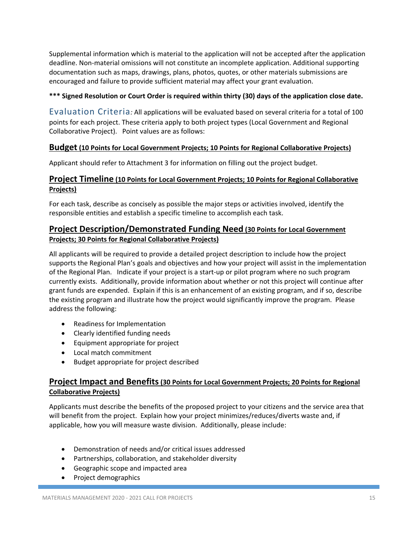Supplemental information which is material to the application will not be accepted after the application deadline. Non‐material omissions will not constitute an incomplete application. Additional supporting documentation such as maps, drawings, plans, photos, quotes, or other materials submissions are encouraged and failure to provide sufficient material may affect your grant evaluation.

## **\*\*\* Signed Resolution or Court Order is required within thirty (30) days of the application close date.**

Evaluation Criteria*:* All applications will be evaluated based on several criteria for a total of 100 points for each project. These criteria apply to both project types (Local Government and Regional Collaborative Project). Point values are as follows:

## **Budget (10 Points for Local Government Projects; 10 Points for Regional Collaborative Projects)**

Applicant should refer to Attachment 3 for information on filling out the project budget.

## **Project Timeline (10 Points for Local Government Projects; 10 Points for Regional Collaborative Projects)**

For each task, describe as concisely as possible the major steps or activities involved, identify the responsible entities and establish a specific timeline to accomplish each task.

## **Project Description/Demonstrated Funding Need (30 Points for Local Government Projects; 30 Points for Regional Collaborative Projects)**

All applicants will be required to provide a detailed project description to include how the project supports the Regional Plan's goals and objectives and how your project will assist in the implementation of the Regional Plan. Indicate if your project is a start‐up or pilot program where no such program currently exists. Additionally, provide information about whether or not this project will continue after grant funds are expended. Explain if this is an enhancement of an existing program, and if so, describe the existing program and illustrate how the project would significantly improve the program. Please address the following:

- Readiness for Implementation
- Clearly identified funding needs
- Equipment appropriate for project
- Local match commitment
- Budget appropriate for project described

## **Project Impact and Benefits (30 Points for Local Government Projects; 20 Points for Regional Collaborative Projects)**

Applicants must describe the benefits of the proposed project to your citizens and the service area that will benefit from the project. Explain how your project minimizes/reduces/diverts waste and, if applicable, how you will measure waste division. Additionally, please include:

- Demonstration of needs and/or critical issues addressed
- Partnerships, collaboration, and stakeholder diversity
- Geographic scope and impacted area
- Project demographics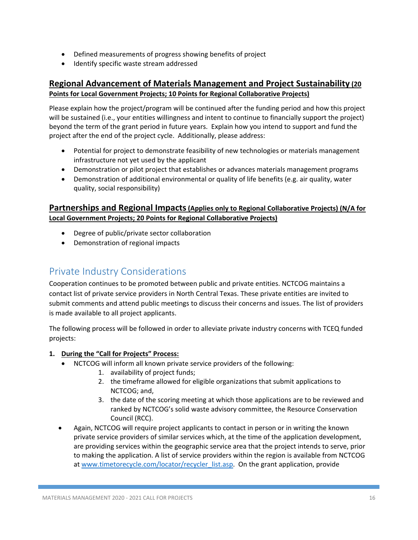- Defined measurements of progress showing benefits of project
- Identify specific waste stream addressed

## **Regional Advancement of Materials Management and Project Sustainability (20 Points for Local Government Projects; 10 Points for Regional Collaborative Projects)**

Please explain how the project/program will be continued after the funding period and how this project will be sustained (i.e., your entities willingness and intent to continue to financially support the project) beyond the term of the grant period in future years. Explain how you intend to support and fund the project after the end of the project cycle. Additionally, please address:

- Potential for project to demonstrate feasibility of new technologies or materials management infrastructure not yet used by the applicant
- Demonstration or pilot project that establishes or advances materials management programs
- Demonstration of additional environmental or quality of life benefits (e.g. air quality, water quality, social responsibility)

## **Partnerships and Regional Impacts (Applies only to Regional Collaborative Projects) (N/A for Local Government Projects; 20 Points for Regional Collaborative Projects)**

- Degree of public/private sector collaboration
- Demonstration of regional impacts

# Private Industry Considerations

Cooperation continues to be promoted between public and private entities. NCTCOG maintains a contact list of private service providers in North Central Texas. These private entities are invited to submit comments and attend public meetings to discuss their concerns and issues. The list of providers is made available to all project applicants.

The following process will be followed in order to alleviate private industry concerns with TCEQ funded projects:

## **1. During the "Call for Projects" Process:**

- NCTCOG will inform all known private service providers of the following:
	- 1. availability of project funds;
	- 2. the timeframe allowed for eligible organizations that submit applications to NCTCOG; and,
	- 3. the date of the scoring meeting at which those applications are to be reviewed and ranked by NCTCOG's solid waste advisory committee, the Resource Conservation Council (RCC).
- Again, NCTCOG will require project applicants to contact in person or in writing the known private service providers of similar services which, at the time of the application development, are providing services within the geographic service area that the project intends to serve, prior to making the application. A list of service providers within the region is available from NCTCOG at www.timetorecycle.com/locator/recycler\_list.asp. On the grant application, provide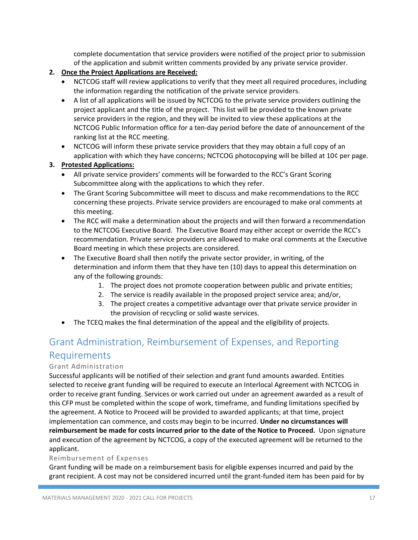complete documentation that service providers were notified of the project prior to submission of the application and submit written comments provided by any private service provider.

- **2. Once the Project Applications are Received:** 
	- NCTCOG staff will review applications to verify that they meet all required procedures, including the information regarding the notification of the private service providers.
	- A list of all applications will be issued by NCTCOG to the private service providers outlining the project applicant and the title of the project. This list will be provided to the known private service providers in the region, and they will be invited to view these applications at the NCTCOG Public Information office for a ten‐day period before the date of announcement of the ranking list at the RCC meeting.
	- NCTCOG will inform these private service providers that they may obtain a full copy of an application with which they have concerns; NCTCOG photocopying will be billed at 10¢ per page.

### **3. Protested Applications:**

- All private service providers' comments will be forwarded to the RCC's Grant Scoring Subcommittee along with the applications to which they refer.
- The Grant Scoring Subcommittee will meet to discuss and make recommendations to the RCC concerning these projects. Private service providers are encouraged to make oral comments at this meeting.
- The RCC will make a determination about the projects and will then forward a recommendation to the NCTCOG Executive Board. The Executive Board may either accept or override the RCC's recommendation. Private service providers are allowed to make oral comments at the Executive Board meeting in which these projects are considered.
- The Executive Board shall then notify the private sector provider, in writing, of the determination and inform them that they have ten (10) days to appeal this determination on any of the following grounds:
	- 1. The project does not promote cooperation between public and private entities;
	- 2. The service is readily available in the proposed project service area; and/or,
	- 3. The project creates a competitive advantage over that private service provider in the provision of recycling or solid waste services.
- The TCEQ makes the final determination of the appeal and the eligibility of projects.

# Grant Administration, Reimbursement of Expenses, and Reporting Requirements

## Grant Administration

Successful applicants will be notified of their selection and grant fund amounts awarded. Entities selected to receive grant funding will be required to execute an Interlocal Agreement with NCTCOG in order to receive grant funding. Services or work carried out under an agreement awarded as a result of this CFP must be completed within the scope of work, timeframe, and funding limitations specified by the agreement. A Notice to Proceed will be provided to awarded applicants; at that time, project implementation can commence, and costs may begin to be incurred. **Under no circumstances will**  reimbursement be made for costs incurred prior to the date of the Notice to Proceed. Upon signature and execution of the agreement by NCTCOG, a copy of the executed agreement will be returned to the applicant.

### Reimbursement of Expenses

Grant funding will be made on a reimbursement basis for eligible expenses incurred and paid by the grant recipient. A cost may not be considered incurred until the grant-funded item has been paid for by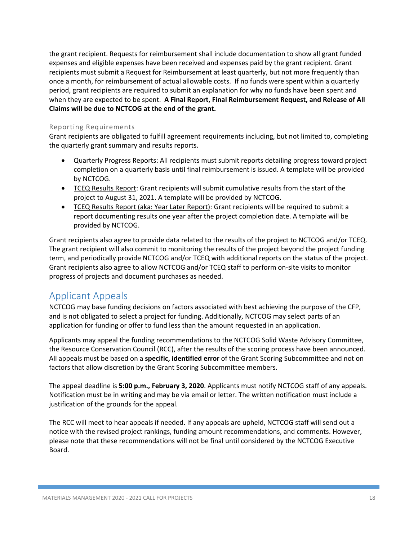the grant recipient. Requests for reimbursement shall include documentation to show all grant funded expenses and eligible expenses have been received and expenses paid by the grant recipient. Grant recipients must submit a Request for Reimbursement at least quarterly, but not more frequently than once a month, for reimbursement of actual allowable costs. If no funds were spent within a quarterly period, grant recipients are required to submit an explanation for why no funds have been spent and when they are expected to be spent. **A Final Report, Final Reimbursement Request, and Release of All Claims will be due to NCTCOG at the end of the grant.** 

#### Reporting Requirements

Grant recipients are obligated to fulfill agreement requirements including, but not limited to, completing the quarterly grant summary and results reports.

- Quarterly Progress Reports: All recipients must submit reports detailing progress toward project completion on a quarterly basis until final reimbursement is issued. A template will be provided by NCTCOG.
- TCEQ Results Report: Grant recipients will submit cumulative results from the start of the project to August 31, 2021. A template will be provided by NCTCOG.
- TCEQ Results Report (aka: Year Later Report): Grant recipients will be required to submit a report documenting results one year after the project completion date. A template will be provided by NCTCOG.

Grant recipients also agree to provide data related to the results of the project to NCTCOG and/or TCEQ. The grant recipient will also commit to monitoring the results of the project beyond the project funding term, and periodically provide NCTCOG and/or TCEQ with additional reports on the status of the project. Grant recipients also agree to allow NCTCOG and/or TCEQ staff to perform on‐site visits to monitor progress of projects and document purchases as needed.

## Applicant Appeals

NCTCOG may base funding decisions on factors associated with best achieving the purpose of the CFP, and is not obligated to select a project for funding. Additionally, NCTCOG may select parts of an application for funding or offer to fund less than the amount requested in an application.

Applicants may appeal the funding recommendations to the NCTCOG Solid Waste Advisory Committee, the Resource Conservation Council (RCC), after the results of the scoring process have been announced. All appeals must be based on a **specific, identified error** of the Grant Scoring Subcommittee and not on factors that allow discretion by the Grant Scoring Subcommittee members.

The appeal deadline is **5:00 p.m., February 3, 2020**. Applicants must notify NCTCOG staff of any appeals. Notification must be in writing and may be via email or letter. The written notification must include a justification of the grounds for the appeal.

The RCC will meet to hear appeals if needed. If any appeals are upheld, NCTCOG staff will send out a notice with the revised project rankings, funding amount recommendations, and comments. However, please note that these recommendations will not be final until considered by the NCTCOG Executive Board.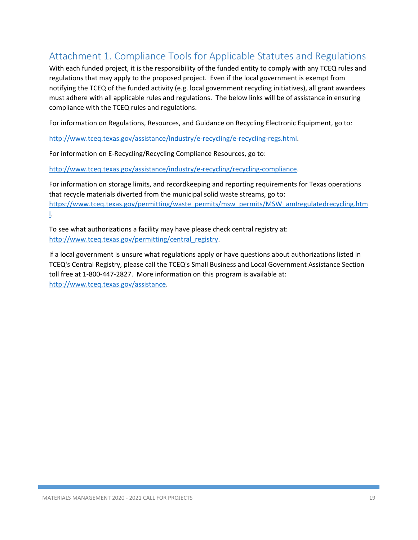# Attachment 1. Compliance Tools for Applicable Statutes and Regulations

With each funded project, it is the responsibility of the funded entity to comply with any TCEQ rules and regulations that may apply to the proposed project. Even if the local government is exempt from notifying the TCEQ of the funded activity (e.g. local government recycling initiatives), all grant awardees must adhere with all applicable rules and regulations. The below links will be of assistance in ensuring compliance with the TCEQ rules and regulations.

For information on Regulations, Resources, and Guidance on Recycling Electronic Equipment, go to:

http://www.tceq.texas.gov/assistance/industry/e‐recycling/e‐recycling‐regs.html.

For information on E‐Recycling/Recycling Compliance Resources, go to:

http://www.tceq.texas.gov/assistance/industry/e‐recycling/recycling‐compliance.

For information on storage limits, and recordkeeping and reporting requirements for Texas operations that recycle materials diverted from the municipal solid waste streams, go to: https://www.tceq.texas.gov/permitting/waste\_permits/msw\_permits/MSW\_amIregulatedrecycling.htm l.

To see what authorizations a facility may have please check central registry at: http://www.tceq.texas.gov/permitting/central\_registry.

If a local government is unsure what regulations apply or have questions about authorizations listed in TCEQ's Central Registry, please call the TCEQ's Small Business and Local Government Assistance Section toll free at 1-800-447-2827. More information on this program is available at: http://www.tceq.texas.gov/assistance.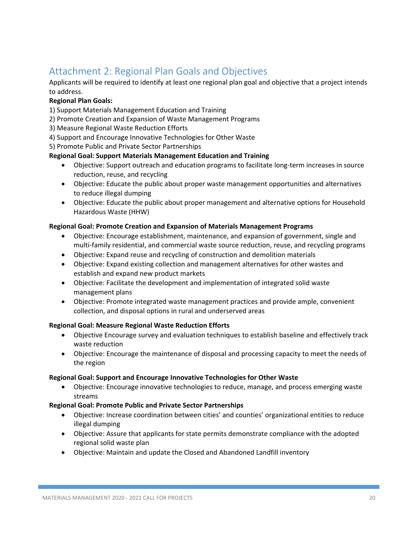# Attachment 2: Regional Plan Goals and Objectives

Applicants will be required to identify at least one regional plan goal and objective that a project intends to address.

## **Regional Plan Goals:**

1) Support Materials Management Education and Training

- 2) Promote Creation and Expansion of Waste Management Programs
- 3) Measure Regional Waste Reduction Efforts
- 4) Support and Encourage Innovative Technologies for Other Waste

5) Promote Public and Private Sector Partnerships

### **Regional Goal: Support Materials Management Education and Training**

- Objective: Support outreach and education programs to facilitate long-term increases in source reduction, reuse, and recycling
- Objective: Educate the public about proper waste management opportunities and alternatives to reduce illegal dumping
- Objective: Educate the public about proper management and alternative options for Household Hazardous Waste (HHW)

### **Regional Goal: Promote Creation and Expansion of Materials Management Programs**

- Objective: Encourage establishment, maintenance, and expansion of government, single and multi-family residential, and commercial waste source reduction, reuse, and recycling programs
- Objective: Expand reuse and recycling of construction and demolition materials
- Objective: Expand existing collection and management alternatives for other wastes and establish and expand new product markets
- Objective: Facilitate the development and implementation of integrated solid waste management plans
- Objective: Promote integrated waste management practices and provide ample, convenient collection, and disposal options in rural and underserved areas

### **Regional Goal: Measure Regional Waste Reduction Efforts**

- Objective Encourage survey and evaluation techniques to establish baseline and effectively track waste reduction
- Objective: Encourage the maintenance of disposal and processing capacity to meet the needs of the region

#### **Regional Goal: Support and Encourage Innovative Technologies for Other Waste**

 Objective: Encourage innovative technologies to reduce, manage, and process emerging waste streams

### **Regional Goal: Promote Public and Private Sector Partnerships**

- Objective: Increase coordination between cities' and counties' organizational entities to reduce illegal dumping
- Objective: Assure that applicants for state permits demonstrate compliance with the adopted regional solid waste plan
- Objective: Maintain and update the Closed and Abandoned Landfill inventory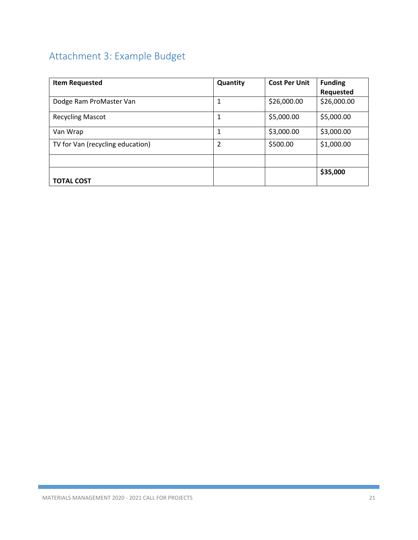# Attachment 3: Example Budget

| <b>Item Requested</b>            | Quantity | <b>Cost Per Unit</b> | <b>Funding</b> |
|----------------------------------|----------|----------------------|----------------|
|                                  |          |                      | Requested      |
| Dodge Ram ProMaster Van          | 1        | \$26,000.00          | \$26,000.00    |
| <b>Recycling Mascot</b>          | 1        | \$5,000.00           | \$5,000.00     |
| Van Wrap                         | 1        | \$3,000.00           | \$3,000.00     |
| TV for Van (recycling education) | 2        | \$500.00             | \$1,000.00     |
|                                  |          |                      |                |
| <b>TOTAL COST</b>                |          |                      | \$35,000       |